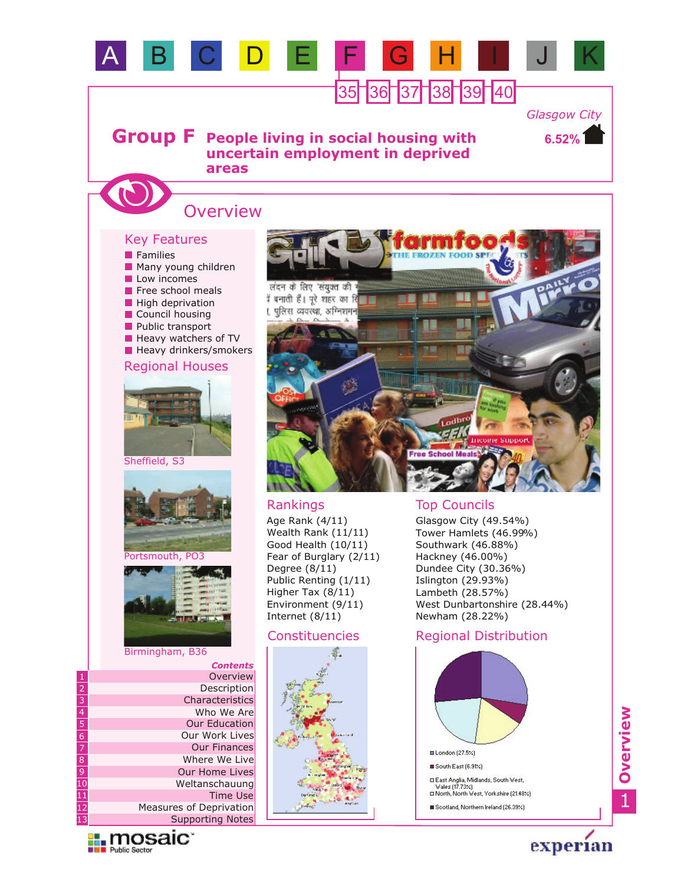

Supporting Notes **Exploration** 

12 13 Measures of Deprivation

**Overview** 1

experian

Scotland, Northern Ireland (26.39%)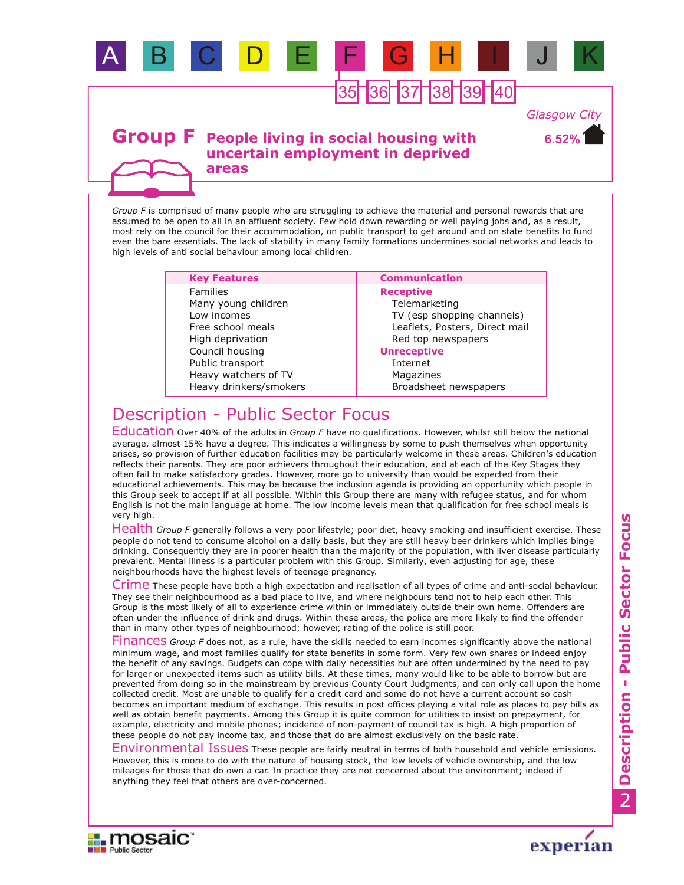

## **Group F** People living in social housing with **uncertain employment in deprived areas**

*Group F* is comprised of many people who are struggling to achieve the material and personal rewards that are assumed to be open to all in an affluent society. Few hold down rewarding or well paying jobs and, as a result, most rely on the council for their accommodation, on public transport to get around and on state benefits to fund even the bare essentials. The lack of stability in many family formations undermines social networks and leads to high levels of anti social behaviour among local children.

| <b>Key Features</b>    | <b>Communication</b>           |
|------------------------|--------------------------------|
| Families               | <b>Receptive</b>               |
| Many young children    | Telemarketing                  |
| Low incomes            | TV (esp shopping channels)     |
| Free school meals      | Leaflets, Posters, Direct mail |
| High deprivation       | Red top newspapers             |
| Council housing        | <b>Unreceptive</b>             |
| Public transport       | Internet                       |
| Heavy watchers of TV   | Magazines                      |
| Heavy drinkers/smokers | Broadsheet newspapers          |

## Description - Public Sector Focus

**EL MOSAIC** 

Education Over 40% of the adults in *Group F* have no qualifications. However, whilst still below the national average, almost 15% have a degree. This indicates a willingness by some to push themselves when opportunity arises, so provision of further education facilities may be particularly welcome in these areas. Children's education reflects their parents. They are poor achievers throughout their education, and at each of the Key Stages they often fail to make satisfactory grades. However, more go to university than would be expected from their educational achievements. This may be because the inclusion agenda is providing an opportunity which people in this Group seek to accept if at all possible. Within this Group there are many with refugee status, and for whom English is not the main language at home. The low income levels mean that qualification for free school meals is very high.

Health Group F generally follows a very poor lifestyle; poor diet, heavy smoking and insufficient exercise. These people do not tend to consume alcohol on a daily basis, but they are still heavy beer drinkers which implies binge drinking. Consequently they are in poorer health than the majority of the population, with liver disease particularly prevalent. Mental illness is a particular problem with this Group. Similarly, even adjusting for age, these neighbourhoods have the highest levels of teenage pregnancy.

Crime These people have both a high expectation and realisation of all types of crime and anti-social behaviour. They see their neighbourhood as a bad place to live, and where neighbours tend not to help each other. This Group is the most likely of all to experience crime within or immediately outside their own home. Offenders are often under the influence of drink and drugs. Within these areas, the police are more likely to find the offender than in many other types of neighbourhood; however, rating of the police is still poor.

Finances Group F does not, as a rule, have the skills needed to earn incomes significantly above the national minimum wage, and most families qualify for state benefits in some form. Very few own shares or indeed enjoy the benefit of any savings. Budgets can cope with daily necessities but are often undermined by the need to pay for larger or unexpected items such as utility bills. At these times, many would like to be able to borrow but are prevented from doing so in the mainstream by previous County Court Judgments, and can only call upon the home collected credit. Most are unable to qualify for a credit card and some do not have a current account so cash becomes an important medium of exchange. This results in post offices playing a vital role as places to pay bills as well as obtain benefit payments. Among this Group it is quite common for utilities to insist on prepayment, for example, electricity and mobile phones; incidence of non-payment of council tax is high. A high proportion of these people do not pay income tax, and those that do are almost exclusively on the basic rate.

Environmental Issues These people are fairly neutral in terms of both household and vehicle emissions. However, this is more to do with the nature of housing stock, the low levels of vehicle ownership, and the low mileages for those that do own a car. In practice they are not concerned about the environment; indeed if anything they feel that others are over-concerned.



**6.52%**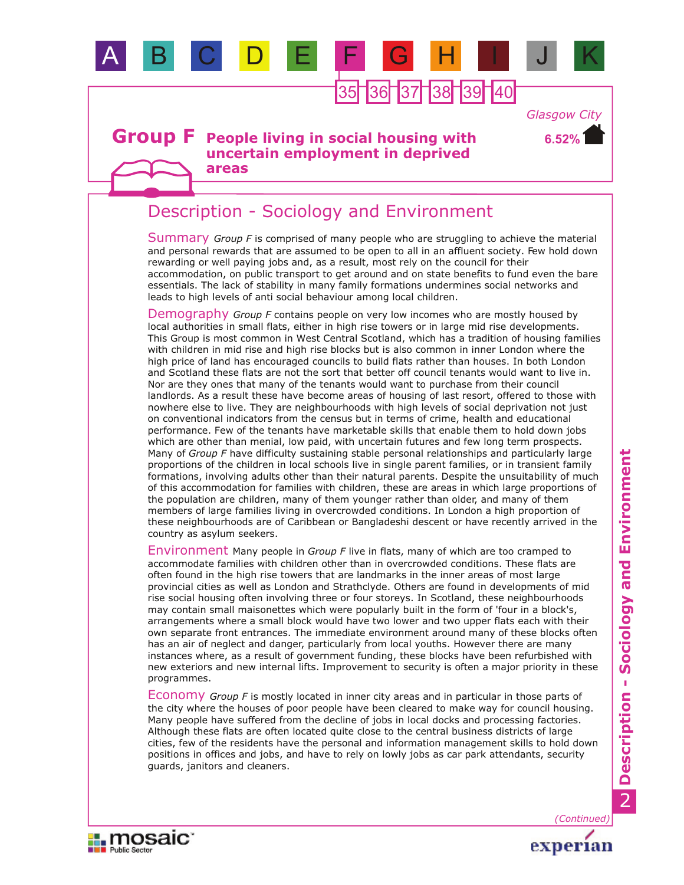

## Description - Sociology and Environment

Summary Group F is comprised of many people who are struggling to achieve the material and personal rewards that are assumed to be open to all in an affluent society. Few hold down rewarding or well paying jobs and, as a result, most rely on the council for their accommodation, on public transport to get around and on state benefits to fund even the bare essentials. The lack of stability in many family formations undermines social networks and leads to high levels of anti social behaviour among local children.

Demography *Group F* contains people on very low incomes who are mostly housed by local authorities in small flats, either in high rise towers or in large mid rise developments. This Group is most common in West Central Scotland, which has a tradition of housing families with children in mid rise and high rise blocks but is also common in inner London where the high price of land has encouraged councils to build flats rather than houses. In both London and Scotland these flats are not the sort that better off council tenants would want to live in. Nor are they ones that many of the tenants would want to purchase from their council landlords. As a result these have become areas of housing of last resort, offered to those with nowhere else to live. They are neighbourhoods with high levels of social deprivation not just on conventional indicators from the census but in terms of crime, health and educational performance. Few of the tenants have marketable skills that enable them to hold down jobs which are other than menial, low paid, with uncertain futures and few long term prospects. Many of *Group F* have difficulty sustaining stable personal relationships and particularly large proportions of the children in local schools live in single parent families, or in transient family formations, involving adults other than their natural parents. Despite the unsuitability of much of this accommodation for families with children, these are areas in which large proportions of the population are children, many of them younger rather than older, and many of them members of large families living in overcrowded conditions. In London a high proportion of these neighbourhoods are of Caribbean or Bangladeshi descent or have recently arrived in the country as asylum seekers.

Environment Many people in *Group F* live in flats, many of which are too cramped to accommodate families with children other than in overcrowded conditions. These flats are often found in the high rise towers that are landmarks in the inner areas of most large provincial cities as well as London and Strathclyde. Others are found in developments of mid rise social housing often involving three or four storeys. In Scotland, these neighbourhoods may contain small maisonettes which were popularly built in the form of 'four in a block's, arrangements where a small block would have two lower and two upper flats each with their own separate front entrances. The immediate environment around many of these blocks often has an air of neglect and danger, particularly from local youths. However there are many instances where, as a result of government funding, these blocks have been refurbished with new exteriors and new internal lifts. Improvement to security is often a major priority in these programmes.

Economy Group F is mostly located in inner city areas and in particular in those parts of the city where the houses of poor people have been cleared to make way for council housing. Many people have suffered from the decline of jobs in local docks and processing factories. Although these flats are often located quite close to the central business districts of large cities, few of the residents have the personal and information management skills to hold down positions in offices and jobs, and have to rely on lowly jobs as car park attendants, security guards, janitors and cleaners.



*(Continued)*experian